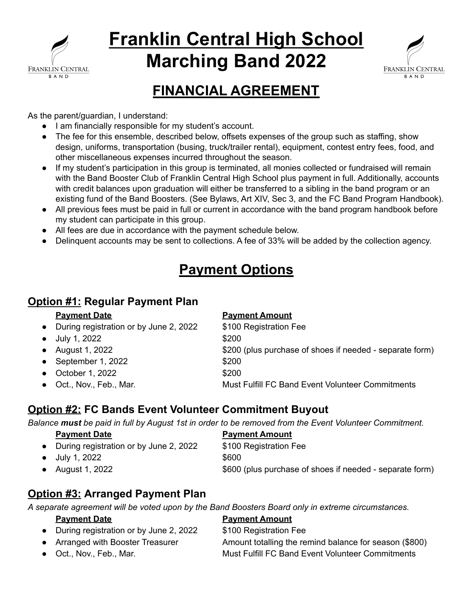

# **Franklin Central High School Marching Band 2022**



# **FINANCIAL AGREEMENT**

As the parent/guardian, I understand:

- I am financially responsible for my student's account.
- The fee for this ensemble, described below, offsets expenses of the group such as staffing, show design, uniforms, transportation (busing, truck/trailer rental), equipment, contest entry fees, food, and other miscellaneous expenses incurred throughout the season.
- If my student's participation in this group is terminated, all monies collected or fundraised will remain with the Band Booster Club of Franklin Central High School plus payment in full. Additionally, accounts with credit balances upon graduation will either be transferred to a sibling in the band program or an existing fund of the Band Boosters. (See Bylaws, Art XIV, Sec 3, and the FC Band Program Handbook).
- All previous fees must be paid in full or current in accordance with the band program handbook before my student can participate in this group.
- All fees are due in accordance with the payment schedule below.
- Delinquent accounts may be sent to collections. A fee of 33% will be added by the collection agency.

# **Payment Options**

## **Option #1: Regular Payment Plan**

#### **Payment Date Payment Amount**

● During registration or by June 2, 2022 \$100 Registration Fee

- $\bullet$  July 1, 2022  $\text{\$200}$
- 
- September 1, 2022 \$200
- October 1, 2022 \$200
- 

● August 1, 2022 **\$200** (plus purchase of shoes if needed - separate form) ● Oct., Nov., Feb., Mar. Must Fulfill FC Band Event Volunteer Commitments

### **Option #2: FC Bands Event Volunteer Commitment Buyout**

Balance must be paid in full by August 1st in order to be removed from the Event Volunteer Commitment.

| <b>Payment Date</b>                    | <b>Payment Amount</b>                                    |
|----------------------------------------|----------------------------------------------------------|
| During registration or by June 2, 2022 | \$100 Registration Fee                                   |
| July 1, 2022                           | \$600                                                    |
| August 1, 2022                         | \$600 (plus purchase of shoes if needed - separate form) |

# **Option #3: Arranged Payment Plan**

*A separate agreement will be voted upon by the Band Boosters Board only in extreme circumstances.*

#### **Payment Date Payment Amount** ● During registration or by June 2, 2022 \$100 Registration Fee • Arranged with Booster Treasurer Amount totalling the remind balance for season (\$800) ● Oct., Nov., Feb., Mar. Must Fulfill FC Band Event Volunteer Commitments